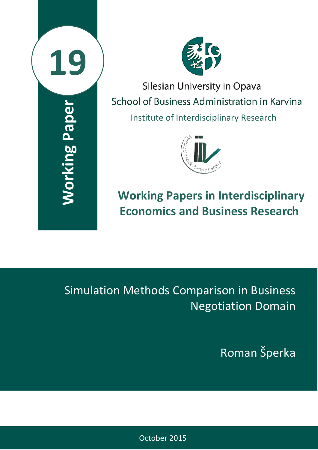



Silesian University in Opava School of Business Administration in Karvina Institute of Interdisciplinary Research



# **Working Papers in Interdisciplinary Economics and Business Research**

Simulation Methods Comparison in Business Negotiation Domain

Roman Šperka

October 2015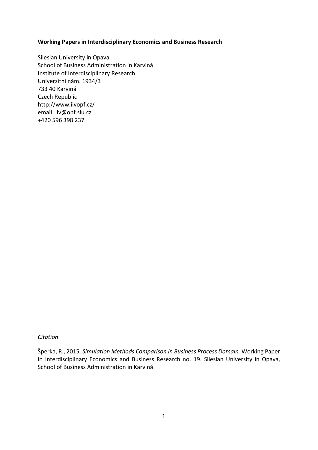## **Working Papers in Interdisciplinary Economics and Business Research**

Silesian University in Opava School of Business Administration in Karviná Institute of Interdisciplinary Research Univerzitní nám. 1934/3 733 40 Karviná Czech Republic http://www.iivopf.cz/ email: iiv@opf.slu.cz +420 596 398 237

### *Citation*

Šperka, R., 2015. *Simulation Methods Comparison in Business Process Domain.* Working Paper in Interdisciplinary Economics and Business Research no. 19. Silesian University in Opava, School of Business Administration in Karviná.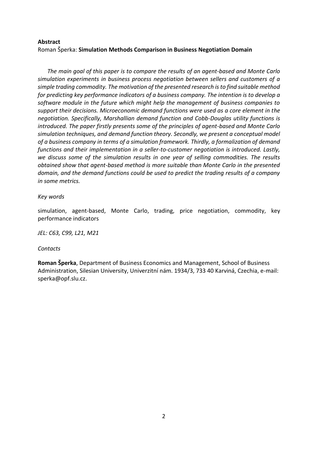## **Abstract** Roman Šperka: **Simulation Methods Comparison in Business Negotiation Domain**

*The main goal of this paper is to compare the results of an agent-based and Monte Carlo simulation experiments in business process negotiation between sellers and customers of a simple trading commodity. The motivation of the presented research is to find suitable method for predicting key performance indicators of a business company. The intention is to develop a software module in the future which might help the management of business companies to support their decisions. Microeconomic demand functions were used as a core element in the negotiation. Specifically, Marshallian demand function and Cobb-Douglas utility functions is introduced. The paper firstly presents some of the principles of agent-based and Monte Carlo simulation techniques, and demand function theory. Secondly, we present a conceptual model of a business company in terms of a simulation framework. Thirdly, a formalization of demand functions and their implementation in a seller-to-customer negotiation is introduced. Lastly, we discuss some of the simulation results in one year of selling commodities. The results obtained show that agent-based method is more suitable than Monte Carlo in the presented domain, and the demand functions could be used to predict the trading results of a company in some metrics.*

## *Key words*

simulation, agent-based, Monte Carlo, trading, price negotiation, commodity, key performance indicators

*JEL: C63, C99, L21, M21*

## *Contacts*

**Roman Šperka**, Department of Business Economics and Management, School of Business Administration, Silesian University, Univerzitní nám. 1934/3, 733 40 Karviná, Czechia, e-mail: sperka@opf.slu.cz.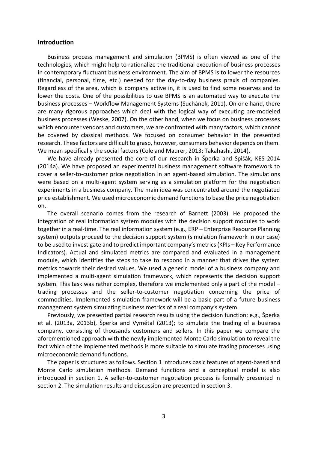#### **Introduction**

Business process management and simulation (BPMS) is often viewed as one of the technologies, which might help to rationalize the traditional execution of business processes in contemporary fluctuant business environment. The aim of BPMS is to lower the resources (financial, personal, time, etc.) needed for the day-to-day business praxis of companies. Regardless of the area, which is company active in, it is used to find some reserves and to lower the costs. One of the possibilities to use BPMS is an automated way to execute the business processes – Workflow Management Systems (Suchánek, 2011). On one hand, there are many rigorous approaches which deal with the logical way of executing pre-modeled business processes (Weske, 2007). On the other hand, when we focus on business processes which encounter vendors and customers, we are confronted with many factors, which cannot be covered by classical methods. We focused on consumer behavior in the presented research. These factors are difficult to grasp, however, consumers behavior depends on them. We mean specifically the social factors (Cole and Maurer, 2013; Takahashi, 2014).

We have already presented the core of our research in Šperka and Spišák, KES 2014 (2014a). We have proposed an experimental business management software framework to cover a seller-to-customer price negotiation in an agent-based simulation. The simulations were based on a multi-agent system serving as a simulation platform for the negotiation experiments in a business company. The main idea was concentrated around the negotiated price establishment. We used microeconomic demand functions to base the price negotiation on.

The overall scenario comes from the research of Barnett (2003). He proposed the integration of real information system modules with the decision support modules to work together in a real-time. The real information system (e.g., ERP – Enterprise Resource Planning system) outputs proceed to the decision support system (simulation framework in our case) to be used to investigate and to predict important company's metrics (KPIs – Key Performance Indicators). Actual and simulated metrics are compared and evaluated in a management module, which identifies the steps to take to respond in a manner that drives the system metrics towards their desired values. We used a generic model of a business company and implemented a multi-agent simulation framework, which represents the decision support system. This task was rather complex, therefore we implemented only a part of the model – trading processes and the seller-to-customer negotiation concerning the price of commodities. Implemented simulation framework will be a basic part of a future business management system simulating business metrics of a real company's system.

Previously, we presented partial research results using the decision function; e.g., Šperka et al. (2013a, 2013b), Šperka and Vymětal (2013); to simulate the trading of a business company, consisting of thousands customers and sellers. In this paper we compare the aforementioned approach with the newly implemented Monte Carlo simulation to reveal the fact which of the implemented methods is more suitable to simulate trading processes using microeconomic demand functions.

The paper is structured as follows. Section 1 introduces basic features of agent-based and Monte Carlo simulation methods. Demand functions and a conceptual model is also introduced in section 1. A seller-to-customer negotiation process is formally presented in section 2. The simulation results and discussion are presented in section 3.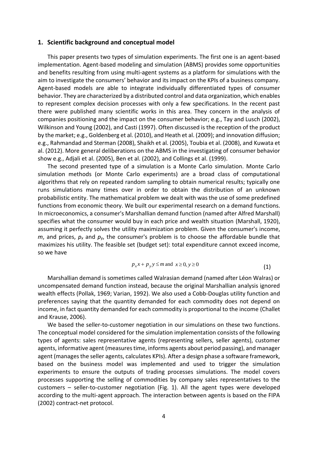#### **1. Scientific background and conceptual model**

This paper presents two types of simulation experiments. The first one is an agent-based implementation. Agent-based modeling and simulation (ABMS) provides some opportunities and benefits resulting from using multi-agent systems as a platform for simulations with the aim to investigate the consumers' behavior and its impact on the KPIs of a business company. Agent-based models are able to integrate individually differentiated types of consumer behavior. They are characterized by a distributed control and data organization, which enables to represent complex decision processes with only a few specifications. In the recent past there were published many scientific works in this area. They concern in the analysis of companies positioning and the impact on the consumer behavior; e.g., Tay and Lusch (2002), Wilkinson and Young (2002), and Casti (1997). Often discussed is the reception of the product by the market; e.g., Goldenberg et al. (2010), and Heath et al. (2009); and innovation diffusion; e.g., Rahmandad and Sterman (2008), Shaikh et al. (2005), Toubia et al. (2008), and Kuwata et al. (2012). More general deliberations on the ABMS in the investigating of consumer behavior show e.g., Adjali et al. (2005), Ben et al. (2002), and Collings et al. (1999).

The second presented type of a simulation is a Monte Carlo simulation. Monte Carlo simulation methods (or Monte Carlo experiments) are a broad class of computational algorithms that rely on repeated random sampling to obtain numerical results; typically one runs simulations many times over in order to obtain the distribution of an unknown probabilistic entity. The mathematical problem we dealt with was the use of some predefined functions from economic theory. We built our experimental research on a demand functions. In microeconomics, a consumer's Marshallian demand function (named after Alfred Marshall) specifies what the consumer would buy in each price and wealth situation (Marshall, 1920), assuming it perfectly solves the utility maximization problem. Given the consumer's income, *m*, and prices, *p<sup>x</sup>* and *py*, the consumer's problem is to choose the affordable bundle that maximizes his utility. The feasible set (budget set): total expenditure cannot exceed income, so we have

$$
p_x x + p_y y \le m \text{ and } x \ge 0, y \ge 0 \tag{1}
$$

Marshallian demand is sometimes called Walrasian demand (named after Léon Walras) or uncompensated demand function instead, because the original Marshallian analysis ignored wealth effects (Pollak, 1969; Varian, 1992). We also used a Cobb-Douglas utility function and preferences saying that the quantity demanded for each commodity does not depend on income, in fact quantity demanded for each commodity is proportional to the income (Challet and Krause, 2006).

We based the seller-to-customer negotiation in our simulations on these two functions. The conceptual model considered for the simulation implementation consists of the following types of agents: sales representative agents (representing sellers, seller agents), customer agents, informative agent (measures time, informs agents about period passing), and manager agent (manages the seller agents, calculates KPIs). After a design phase a software framework, based on the business model was implemented and used to trigger the simulation experiments to ensure the outputs of trading processes simulations. The model covers processes supporting the selling of commodities by company sales representatives to the customers – seller-to-customer negotiation (Fig. 1). All the agent types were developed according to the multi-agent approach. The interaction between agents is based on the FIPA (2002) contract-net protocol.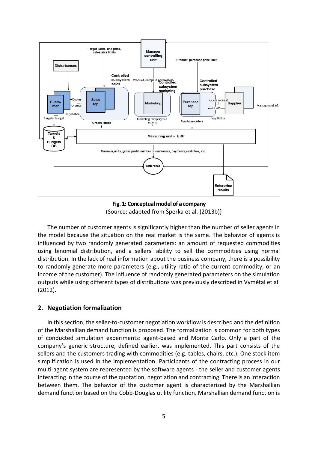

**Fig. 1: Conceptual model of a company** (Source: adapted from Šperka et al. (2013b))

The number of customer agents is significantly higher than the number of seller agents in the model because the situation on the real market is the same. The behavior of agents is influenced by two randomly generated parameters: an amount of requested commodities using binomial distribution, and a sellers' ability to sell the commodities using normal distribution. In the lack of real information about the business company, there is a possibility to randomly generate more parameters (e.g., utility ratio of the current commodity, or an income of the customer). The influence of randomly generated parameters on the simulation outputs while using different types of distributions was previously described in Vymětal et al. (2012).

#### **2. Negotiation formalization**

In this section, the seller-to-customer negotiation workflow is described and the definition of the Marshallian demand function is proposed. The formalization is common for both types of conducted simulation experiments: agent-based and Monte Carlo. Only a part of the company's generic structure, defined earlier, was implemented. This part consists of the sellers and the customers trading with commodities (e.g. tables, chairs, etc.). One stock item simplification is used in the implementation. Participants of the contracting process in our multi-agent system are represented by the software agents - the seller and customer agents interacting in the course of the quotation, negotiation and contracting. There is an interaction between them. The behavior of the customer agent is characterized by the Marshallian demand function based on the Cobb-Douglas utility function. Marshallian demand function is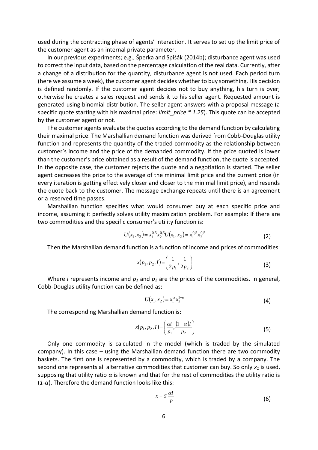used during the contracting phase of agents' interaction. It serves to set up the limit price of the customer agent as an internal private parameter.

In our previous experiments; e.g., Šperka and Spišák (2014b); disturbance agent was used to correct the input data, based on the percentage calculation of the real data. Currently, after a change of a distribution for the quantity, disturbance agent is not used. Each period turn (here we assume a week), the customer agent decides whether to buy something. His decision is defined randomly. If the customer agent decides not to buy anything, his turn is over; otherwise he creates a sales request and sends it to his seller agent. Requested amount is generated using binomial distribution. The seller agent answers with a proposal message (a specific quote starting with his maximal price: *limit\_price \* 1.25*). This quote can be accepted by the customer agent or not.

The customer agents evaluate the quotes according to the demand function by calculating their maximal price. The Marshallian demand function was derived from Cobb-Douglas utility function and represents the quantity of the traded commodity as the relationship between customer's income and the price of the demanded commodity. If the price quoted is lower than the customer's price obtained as a result of the demand function, the quote is accepted. In the opposite case, the customer rejects the quote and a negotiation is started. The seller agent decreases the price to the average of the minimal limit price and the current price (in every iteration is getting effectively closer and closer to the minimal limit price), and resends the quote back to the customer. The message exchange repeats until there is an agreement or a reserved time passes.

Marshallian function specifies what would consumer buy at each specific price and income, assuming it perfectly solves utility maximization problem. For example: If there are two commodities and the specific consumer's utility function is:

$$
U(x_1, x_2) = x_1^{0.5} x_2^{0.5} U(x_1, x_2) = x_1^{0.5} x_2^{0.5}
$$
 (2)

Then the Marshallian demand function is a function of income and prices of commodities:

$$
x(p_1, p_2, I) = \left(\frac{1}{2p_1}, \frac{1}{2p_2}\right) \tag{3}
$$

Where *I* represents income and *p<sup>1</sup>* and *p<sup>2</sup>* are the prices of the commodities. In general, Cobb-Douglas utility function can be defined as:

$$
U(x_1, x_2) = x_1^{\alpha} x_2^{1-\alpha}
$$
 (4)

The corresponding Marshallian demand function is:

$$
x(p_1, p_2, I) = \left(\frac{\alpha I}{p_1}, \frac{(1-\alpha)I}{p_2}\right) \tag{5}
$$

Only one commodity is calculated in the model (which is traded by the simulated company). In this case – using the Marshallian demand function there are two commodity baskets. The first one is represented by a commodity, which is traded by a company. The second one represents all alternative commodities that customer can buy. So only *x<sup>1</sup>* is used, supposing that utility ratio  $\alpha$  is known and that for the rest of commodities the utility ratio is (*1-α*). Therefore the demand function looks like this:

$$
x = S \frac{\alpha I}{p} \tag{6}
$$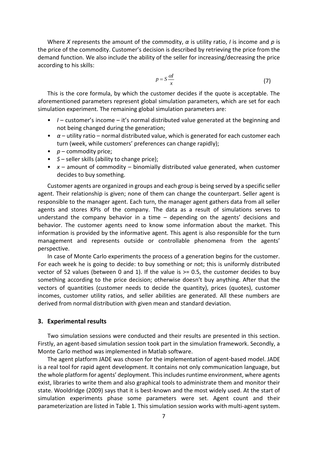Where *X* represents the amount of the commodity, *α* is utility ratio, *I* is income and *p* is the price of the commodity. Customer's decision is described by retrieving the price from the demand function. We also include the ability of the seller for increasing/decreasing the price according to his skills:

$$
p = S \frac{\alpha I}{x}
$$
 (7)

This is the core formula, by which the customer decides if the quote is acceptable. The aforementioned parameters represent global simulation parameters, which are set for each simulation experiment. The remaining global simulation parameters are:

- *I* customer's income it's normal distributed value generated at the beginning and not being changed during the generation;
- *α* utility ratio normal distributed value, which is generated for each customer each turn (week, while customers' preferences can change rapidly);
- *p* commodity price;
- *S* seller skills (ability to change price);
- *x* amount of commodity binomially distributed value generated, when customer decides to buy something.

Customer agents are organized in groups and each group is being served by a specific seller agent. Their relationship is given; none of them can change the counterpart. Seller agent is responsible to the manager agent. Each turn, the manager agent gathers data from all seller agents and stores KPIs of the company. The data as a result of simulations serves to understand the company behavior in a time – depending on the agents' decisions and behavior. The customer agents need to know some information about the market. This information is provided by the informative agent. This agent is also responsible for the turn management and represents outside or controllable phenomena from the agents' perspective.

In case of Monte Carlo experiments the process of a generation begins for the customer. For each week he is going to decide: to buy something or not; this is uniformly distributed vector of 52 values (between 0 and 1). If the value is >= 0.5, the customer decides to buy something according to the price decision; otherwise doesn't buy anything. After that the vectors of quantities (customer needs to decide the quantity), prices (quotes), customer incomes, customer utility ratios, and seller abilities are generated. All these numbers are derived from normal distribution with given mean and standard deviation.

#### **3. Experimental results**

Two simulation sessions were conducted and their results are presented in this section. Firstly, an agent-based simulation session took part in the simulation framework. Secondly, a Monte Carlo method was implemented in Matlab software.

The agent platform JADE was chosen for the implementation of agent-based model. JADE is a real tool for rapid agent development. It contains not only communication language, but the whole platform for agents' deployment. This includes runtime environment, where agents exist, libraries to write them and also graphical tools to administrate them and monitor their state. Wooldridge (2009) says that it is best-known and the most widely used. At the start of simulation experiments phase some parameters were set. Agent count and their parameterization are listed in Table 1. This simulation session works with multi-agent system.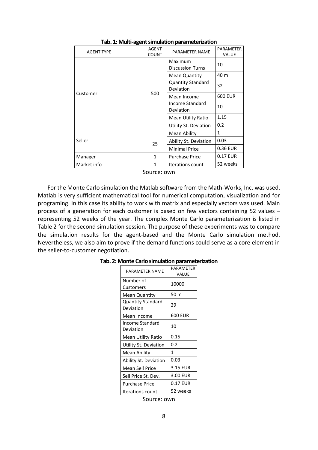| <b>AGENT TYPE</b> | AGENT<br><b>COUNT</b> | PARAMETER NAME                        | <b>PARAMETER</b><br><b>VALUE</b> |
|-------------------|-----------------------|---------------------------------------|----------------------------------|
| Customer          | 500                   | Maximum<br><b>Discussion Turns</b>    | 10                               |
|                   |                       | <b>Mean Quantity</b>                  | 40 m                             |
|                   |                       | <b>Quantity Standard</b><br>Deviation | 32                               |
|                   |                       | Mean Income                           | <b>600 EUR</b>                   |
|                   |                       | Income Standard<br>Deviation          | 10                               |
|                   |                       | Mean Utility Ratio                    | 1.15                             |
|                   |                       | Utility St. Deviation                 | 0.2                              |
| Seller            |                       | Mean Ability                          | $\mathbf{1}$                     |
|                   | 25                    | Ability St. Deviation                 | 0.03                             |
|                   |                       | <b>Minimal Price</b>                  | 0.36 EUR                         |
| Manager           | 1                     | <b>Purchase Price</b>                 | 0.17 EUR                         |
| Market info       | 1                     | Iterations count                      | 52 weeks                         |
|                   |                       |                                       |                                  |

**Tab. 1: Multi-agent simulation parameterization**

Source: own

For the Monte Carlo simulation the Matlab software from the Math-Works, Inc. was used. Matlab is very sufficient mathematical tool for numerical computation, visualization and for programing. In this case its ability to work with matrix and especially vectors was used. Main process of a generation for each customer is based on few vectors containing 52 values – representing 52 weeks of the year. The complex Monte Carlo parameterization is listed in Table 2 for the second simulation session. The purpose of these experiments was to compare the simulation results for the agent-based and the Monte Carlo simulation method. Nevertheless, we also aim to prove if the demand functions could serve as a core element in the seller-to-customer negotiation.

| PARAMFTFR NAMF                        | PARAMFTFR<br>VALUE |  |
|---------------------------------------|--------------------|--|
| Number of<br>Customers                | 10000              |  |
| <b>Mean Quantity</b>                  | 50 m               |  |
| <b>Quantity Standard</b><br>Deviation | 29                 |  |
| Mean Income                           | 600 EUR            |  |
| <b>Income Standard</b><br>Deviation   | 10                 |  |
| Mean Utility Ratio                    | 0.15               |  |
| Utility St. Deviation                 | 0.2                |  |
| Mean Ability                          | 1                  |  |
| <b>Ability St. Deviation</b>          | 0.03               |  |
| <b>Mean Sell Price</b>                | 3.15 EUR           |  |
| Sell Price St. Dev.                   | 3.00 EUR           |  |
| Purchase Price                        | 0.17 EUR           |  |
| Iterations count                      | 52 weeks           |  |

## **Tab. 2: Monte Carlo simulation parameterization**

Source: own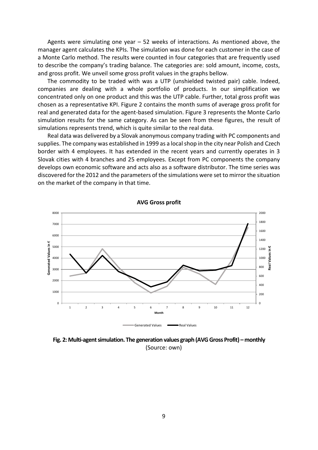Agents were simulating one year – 52 weeks of interactions. As mentioned above, the manager agent calculates the KPIs. The simulation was done for each customer in the case of a Monte Carlo method. The results were counted in four categories that are frequently used to describe the company's trading balance. The categories are: sold amount, income, costs, and gross profit. We unveil some gross profit values in the graphs bellow.

The commodity to be traded with was a UTP (unshielded twisted pair) cable. Indeed, companies are dealing with a whole portfolio of products. In our simplification we concentrated only on one product and this was the UTP cable. Further, total gross profit was chosen as a representative KPI. Figure 2 contains the month sums of average gross profit for real and generated data for the agent-based simulation. Figure 3 represents the Monte Carlo simulation results for the same category. As can be seen from these figures, the result of simulations represents trend, which is quite similar to the real data.

Real data was delivered by a Slovak anonymous company trading with PC components and supplies. The company was established in 1999 as a local shop in the city near Polish and Czech border with 4 employees. It has extended in the recent years and currently operates in 3 Slovak cities with 4 branches and 25 employees. Except from PC components the company develops own economic software and acts also as a software distributor. The time series was discovered for the 2012 and the parameters of the simulations were set to mirror the situation on the market of the company in that time.



**AVG Gross profit**

**Fig. 2: Multi-agent simulation. The generation values graph (AVG Gross Profit) –monthly** (Source: own)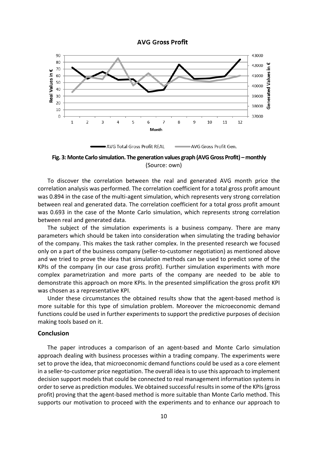#### **AVG Gross Profit**



**Fig. 3: Monte Carlo simulation. The generation values graph (AVG Gross Profit) –monthly** (Source: own)

To discover the correlation between the real and generated AVG month price the correlation analysis was performed. The correlation coefficient for a total gross profit amount was 0.894 in the case of the multi-agent simulation, which represents very strong correlation between real and generated data. The correlation coefficient for a total gross profit amount was 0.693 in the case of the Monte Carlo simulation, which represents strong correlation between real and generated data.

The subject of the simulation experiments is a business company. There are many parameters which should be taken into consideration when simulating the trading behavior of the company. This makes the task rather complex. In the presented research we focused only on a part of the business company (seller-to-customer negotiation) as mentioned above and we tried to prove the idea that simulation methods can be used to predict some of the KPIs of the company (in our case gross profit). Further simulation experiments with more complex parametrization and more parts of the company are needed to be able to demonstrate this approach on more KPIs. In the presented simplification the gross profit KPI was chosen as a representative KPI.

Under these circumstances the obtained results show that the agent-based method is more suitable for this type of simulation problem. Moreover the microeconomic demand functions could be used in further experiments to support the predictive purposes of decision making tools based on it.

#### **Conclusion**

The paper introduces a comparison of an agent-based and Monte Carlo simulation approach dealing with business processes within a trading company. The experiments were set to prove the idea, that microeconomic demand functions could be used as a core element in a seller-to-customer price negotiation. The overall idea is to use this approach to implement decision support models that could be connected to real management information systems in order to serve as prediction modules. We obtained successful results in some of the KPIs (gross profit) proving that the agent-based method is more suitable than Monte Carlo method. This supports our motivation to proceed with the experiments and to enhance our approach to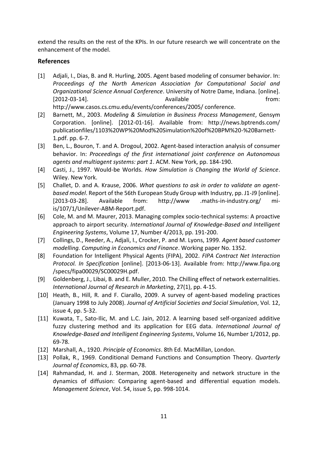extend the results on the rest of the KPIs. In our future research we will concentrate on the enhancement of the model.

## **References**

[1] Adjali, I., Dias, B. and R. Hurling, 2005. Agent based modeling of consumer behavior. In: *Proceedings of the North American Association for Computational Social and Organizational Science Annual Conference*. University of Notre Dame, Indiana. [online]. [2012-03-14]. Available from: http://www.casos.cs.cmu.edu/events/conferences/2005/ conference.

[2] Barnett, M., 2003. *Modeling & Simulation in Business Process Management*, Gensym Corporation. [online]. [2012-01-16]. Available from: http://news.bptrends.com/ publicationfiles/1103%20WP%20Mod%20Simulation%20of%20BPM%20-%20Barnett-1.pdf. pp. 6-7.

- [3] Ben, L., Bouron, T. and A. Drogoul, 2002. Agent-based interaction analysis of consumer behavior. In: *Proceedings of the first international joint conference on Autonomous agents and multiagent systems: part 1*. ACM. New York, pp. 184-190.
- [4] Casti, J., 1997. Would-be Worlds. *How Simulation is Changing the World of Science*. Wiley. New York.
- [5] Challet, D. and A. Krause, 2006. *What questions to ask in order to validate an agentbased model*. Report of the 56th European Study Group with Industry, pp. J1-J9 [online]. [2013-03-28]. Available from: http://www .maths-in-industry.org/ miis/107/1/Unilever-ABM-Report.pdf.
- [6] Cole, M. and M. Maurer, 2013. Managing complex socio-technical systems: A proactive approach to airport security. *International Journal of Knowledge-Based and Intelligent Engineering Systems*, Volume 17, Number 4/2013, pp. 191-200.
- [7] Collings, D., Reeder, A., Adjali, I., Crocker, P. and M. Lyons, 1999. *Agent based customer modelling. Computing in Economics and Finance*. Working paper No. 1352.
- [8] Foundation for Intelligent Physical Agents (FIPA), 2002. *FIPA Contract Net Interaction Protocol. In Specification* [online]. [2013-06-13]. Available from: http://www.fipa.org /specs/fipa00029/SC00029H.pdf.
- [9] Goldenberg, J., Libai, B. and E. Muller, 2010. The Chilling effect of network externalities. *International Journal of Research in Marketing*, 27(1), pp. 4-15.
- [10] Heath, B., Hill, R. and F. Ciarallo, 2009. A survey of agent-based modeling practices (January 1998 to July 2008). *Journal of Artificial Societies and Social Simulation*, Vol. 12, issue 4, pp. 5-32.
- [11] Kuwata, T., Sato-Ilic, M. and L.C. Jain, 2012. A learning based self-organized additive fuzzy clustering method and its application for EEG data. *International Journal of Knowledge-Based and Intelligent Engineering Systems*, Volume 16, Number 1/2012, pp. 69-78.
- [12] Marshall, A., 1920. *Principle of Economics*. 8th Ed. MacMillan, London.
- [13] Pollak, R., 1969. Conditional Demand Functions and Consumption Theory. *Quarterly Journal of Economics*, 83, pp. 60-78.
- [14] Rahmandad, H. and J. Sterman, 2008. Heterogeneity and network structure in the dynamics of diffusion: Comparing agent-based and differential equation models. *Management Science*, Vol. 54, issue 5, pp. 998-1014.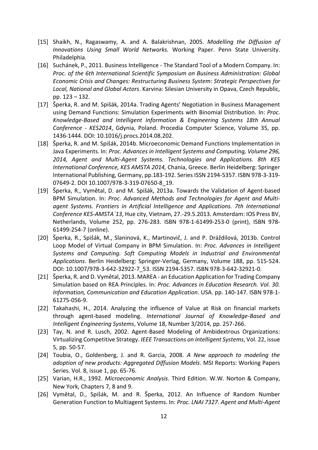- [15] Shaikh, N., Ragaswamy, A. and A. Balakrishnan, 2005. *Modelling the Diffusion of Innovations Using Small World Networks.* Working Paper. Penn State University. Philadelphia.
- [16] Suchánek, P., 2011. Business Intelligence The Standard Tool of a Modern Company. In: *Proc. of the 6th International Scientific Symposium on Business Administration: Global Economic Crisis and Changes: Restructuring Business System: Strategic Perspectives for Local, National and Global Actors*. Karvina: Silesian University in Opava, Czech Republic, pp. 123 – 132.
- [17] Šperka, R. and M. Spišák, 2014a. Trading Agents' Negotiation in Business Management using Demand Functions: Simulation Experiments with Binomial Distribution. In: *Proc. Knowledge-Based and Intelligent Information & Engineering Systems 18th Annual Conference - KES2014*, Gdynia, Poland. Procedia Computer Science, Volume 35, pp. 1436-1444. DOI: 10.1016/j.procs.2014.08.202.
- [18] Šperka, R. and M. Spišák, 2014b. Microeconomic Demand Functions Implementation in Java Experiments. In: *Proc. Advances in Intelligent Systems and Computing, Volume 296, 2014, Agent and Multi-Agent Systems. Technologies and Applications. 8th KES International Conference, KES AMSTA 2014,* Chania, Greece. Berlin Heidelberg: Springer International Publishing, Germany, pp.183-192. Series ISSN 2194-5357. ISBN 978-3-319- 07649-2. DOI 10.1007/978-3-319-07650-8\_19.
- [19] Šperka, R., Vymětal, D. and M. Spišák, 2013a. Towards the Validation of Agent-based BPM Simulation. In: *Proc. Advanced Methods and Technologies for Agent and Multiagent Systems. Frontiers in Artificial Intelligence and Applications. 7th International Conference KES-AMSTA`13*, Hue city, Vietnam, 27.-29.5.2013. Amsterdam: IOS Press BV, Netherlands, Volume 252, pp. 276-283. ISBN 978-1-61499-253-0 (print), ISBN 978- 61499-254-7 (online).
- [20] Šperka, R., Spišák, M., Slaninová, K., Martinovič, J. and P. Dráždilová, 2013b. Control Loop Model of Virtual Company in BPM Simulation. In: *Proc. Advances in Intelligent Systems and Computing. Soft Computing Models in Industrial and Environmental Applications*. Berlin Heidelberg: Springer-Verlag, Germany, Volume 188, pp. 515-524. DOI: 10.1007/978-3-642-32922-7\_53. ISSN 2194-5357. ISBN 978-3-642-32921-0.
- [21] Šperka, R. and D. Vymětal, 2013. MAREA an Education Application for Trading Company Simulation based on REA Principles. In: *Proc. Advances in Education Research. Vol. 30. Information, Communication and Education Application*. USA. pp. 140-147. ISBN 978-1- 61275-056-9.
- [22] Takahashi, H., 2014. Analyzing the influence of Value at Risk on financial markets through agent-based modeling. *International Journal of Knowledge-Based and Intelligent Engineering Systems*, Volume 18, Number 3/2014, pp. 257-266.
- [23] Tay, N. and R. Lusch, 2002. Agent-Based Modeling of Ambidextrous Organizations: Virtualizing Competitive Strategy. *IEEE Transactions on Intelligent Systems*, Vol. 22, issue 5, pp. 50-57.
- [24] Toubia, O., Goldenberg, J. and R. Garcia, 2008. *A New approach to modeling the adoption of new products: Aggregated Diffusion Models*. MSI Reports: Working Papers Series. Vol. 8, issue 1, pp. 65-76.
- [25] Varian, H.R., 1992. *Microeconomic Analysis*. Third Edition. W.W. Norton & Company, New York, Chapters 7, 8 and 9.
- [26] Vymětal, D., Spišák, M. and R. Šperka, 2012. An Influence of Random Number Generation Function to Multiagent Systems. In: *Proc. LNAI 7327. Agent and Multi-Agent*